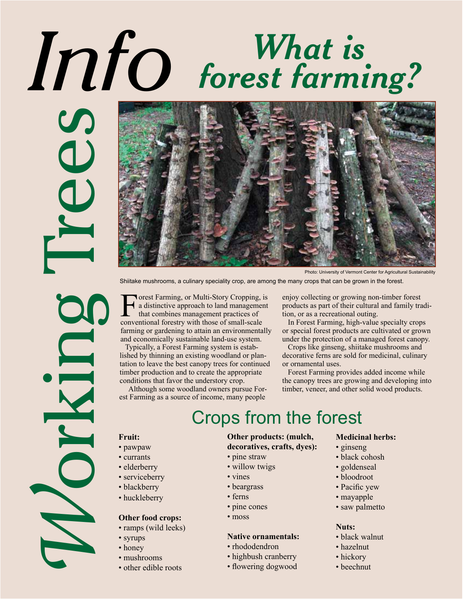# *Info What is forest farming?*

**Example 19 (1998)**<br>
Shilate mushrooms, a cultary speedially crop, are amely the shift of the mushrooms, a cultary conduct of the mushrooms of the distribution of the distribution of the distribution of the analysis of the



Photo: University of Vermont Center for Agricultural Sustainability

Shiitake mushrooms, a culinary speciality crop, are among the many crops that can be grown in the forest.

Forest Farming, or Multi-Story Cropping, is<br>a distinctive approach to land management<br>that combines management practices of<br>conventional forestry with those of small-scale a distinctive approach to land management that combines management practices of conventional forestry with those of small-scale farming or gardening to attain an environmentally and economically sustainable land-use system.

 Typically, a Forest Farming system is established by thinning an existing woodland or plantation to leave the best canopy trees for continued timber production and to create the appropriate conditions that favor the understory crop.

 Although some woodland owners pursue Forest Farming as a source of income, many people

enjoy collecting or growing non-timber forest products as part of their cultural and family tradition, or as a recreational outing.

 In Forest Farming, high-value specialty crops or special forest products are cultivated or grown under the protection of a managed forest canopy.

 Crops like ginseng, shiitake mushrooms and decorative ferns are sold for medicinal, culinary or ornamental uses.

 Forest Farming provides added income while the canopy trees are growing and developing into timber, veneer, and other solid wood products.

## Crops from the forest

- pawpaw
- currants
- elderberry
- serviceberry
- blackberry
- huckleberry

### **Other food crops:**

- ramps (wild leeks)
- syrups
- honey
- mushrooms
- other edible roots

## **Other products: (mulch,**

- **decoratives, crafts, dyes):**
- pine straw
- willow twigs
- vines
- ferns
- pine cones
- moss

### **Native ornamentals:**

- rhododendron
- highbush cranberry
- flowering dogwood

#### **Medicinal herbs:**

- ginseng
- black cohosh
- goldenseal
- bloodroot
- Pacific yew
- mayapple
- saw palmetto

#### **Nuts:**

- black walnut
- hazelnut
- hickory
- beechnut
- -
- 
- 
- beargrass
	-
	-
	-

- -
	-
	-
	-